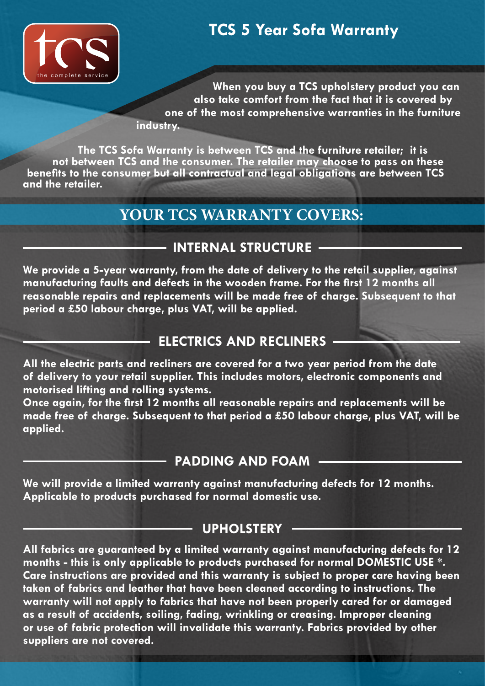

**When you buy a TCS upholstery product you can also take comfort from the fact that it is covered by one of the most comprehensive warranties in the furniture industry.**

**The TCS Sofa Warranty is between TCS and the furniture retailer; it is not between TCS and the consumer. The retailer may choose to pass on these benefits to the consumer but all contractual and legal obligations are between TCS and the retailer.**

### **YOUR TCS WARRANTY COVERS:**

### **INTERNAL STRUCTURE**

**We provide a 5-year warranty, from the date of delivery to the retail supplier, against manufacturing faults and defects in the wooden frame. For the first 12 months all reasonable repairs and replacements will be made free of charge. Subsequent to that period a £50 labour charge, plus VAT, will be applied.**

### **ELECTRICS AND RECLINERS**

**All the electric parts and recliners are covered for a two year period from the date of delivery to your retail supplier. This includes motors, electronic components and motorised lifting and rolling systems.** 

**Once again, for the first 12 months all reasonable repairs and replacements will be made free of charge. Subsequent to that period a £50 labour charge, plus VAT, will be applied.**

### **PADDING AND FOAM**

**We will provide a limited warranty against manufacturing defects for 12 months. Applicable to products purchased for normal domestic use.**

#### **UPHOLSTERY**

**All fabrics are guaranteed by a limited warranty against manufacturing defects for 12 months - this is only applicable to products purchased for normal DOMESTIC USE \*. Care instructions are provided and this warranty is subject to proper care having been taken of fabrics and leather that have been cleaned according to instructions. The warranty will not apply to fabrics that have not been properly cared for or damaged as a result of accidents, soiling, fading, wrinkling or creasing. Improper cleaning or use of fabric protection will invalidate this warranty. Fabrics provided by other suppliers are not covered.**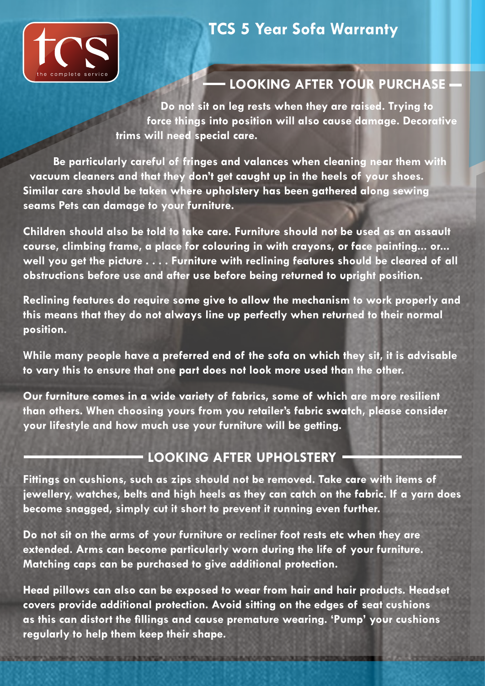

### **LOOKING AFTER YOUR PURCHASE**

**Do not sit on leg rests when they are raised. Trying to force things into position will also cause damage. Decorative trims will need special care.** 

**Be particularly careful of fringes and valances when cleaning near them with vacuum cleaners and that they don't get caught up in the heels of your shoes. Similar care should be taken where upholstery has been gathered along sewing seams Pets can damage to your furniture.** 

**Children should also be told to take care. Furniture should not be used as an assault course, climbing frame, a place for colouring in with crayons, or face painting... or... well you get the picture . . . . Furniture with reclining features should be cleared of all obstructions before use and after use before being returned to upright position.**

**Reclining features do require some give to allow the mechanism to work properly and this means that they do not always line up perfectly when returned to their normal position.**

**While many people have a preferred end of the sofa on which they sit, it is advisable to vary this to ensure that one part does not look more used than the other.** 

**Our furniture comes in a wide variety of fabrics, some of which are more resilient than others. When choosing yours from you retailer's fabric swatch, please consider your lifestyle and how much use your furniture will be getting.**

### **LOOKING AFTER UPHOLSTERY**

**Fittings on cushions, such as zips should not be removed. Take care with items of jewellery, watches, belts and high heels as they can catch on the fabric. If a yarn does become snagged, simply cut it short to prevent it running even further.** 

**Do not sit on the arms of your furniture or recliner foot rests etc when they are extended. Arms can become particularly worn during the life of your furniture. Matching caps can be purchased to give additional protection.**

**Head pillows can also can be exposed to wear from hair and hair products. Headset covers provide additional protection. Avoid sitting on the edges of seat cushions as this can distort the fillings and cause premature wearing. 'Pump' your cushions regularly to help them keep their shape.**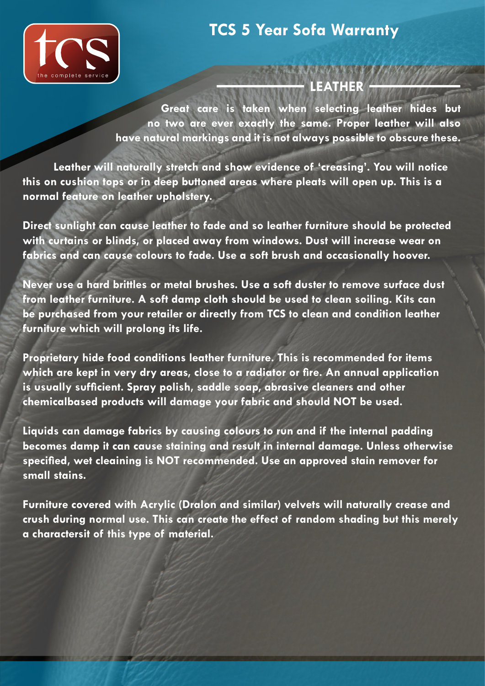

#### 医氯丙基亚环苯苯磺胺 **LEATHER**

**Great care is taken when selecting leather hides but no two are ever exactly the same. Proper leather will also have natural markings and it is not always possible to obscure these.** 

**Leather will naturally stretch and show evidence of 'creasing'. You will notice this on cushion tops or in deep buttoned areas where pleats will open up. This is a normal feature on leather upholstery.** 

**Direct sunlight can cause leather to fade and so leather furniture should be protected with curtains or blinds, or placed away from windows. Dust will increase wear on fabrics and can cause colours to fade. Use a soft brush and occasionally hoover.** 

**Never use a hard brittles or metal brushes. Use a soft duster to remove surface dust from leather furniture. A soft damp cloth should be used to clean soiling. Kits can be purchased from your retailer or directly from TCS to clean and condition leather furniture which will prolong its life.** 

**Proprietary hide food conditions leather furniture. This is recommended for items which are kept in very dry areas, close to a radiator or fire. An annual application is usually sufficient. Spray polish, saddle soap, abrasive cleaners and other chemicalbased products will damage your fabric and should NOT be used.** 

**Liquids can damage fabrics by causing colours to run and if the internal padding becomes damp it can cause staining and result in internal damage. Unless otherwise specified, wet cleaining is NOT recommended. Use an approved stain remover for small stains.** 

**Furniture covered with Acrylic (Dralon and similar) velvets will naturally crease and crush during normal use. This can create the effect of random shading but this merely a charactersit of this type of material.**